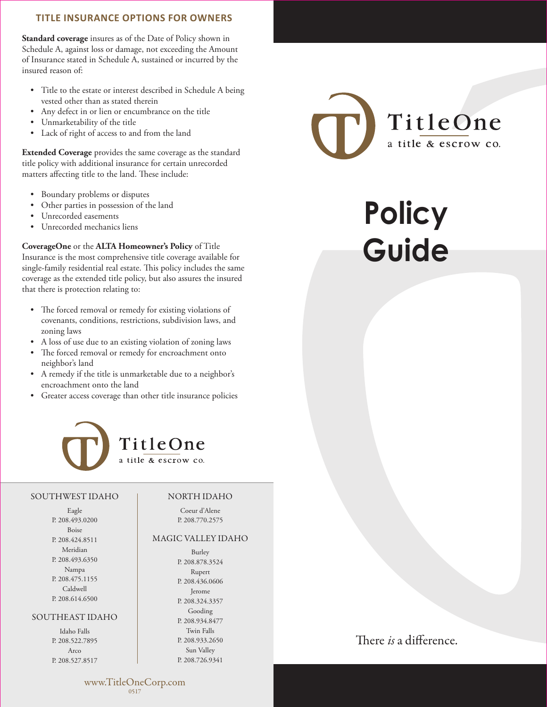## **TITLE INSURANCE OPTIONS FOR OWNERS**

**Standard coverage** insures as of the Date of Policy shown in Schedule A, against loss or damage, not exceeding the Amount of Insurance stated in Schedule A, sustained or incurred by the insured reason of:

- Title to the estate or interest described in Schedule A being vested other than as stated therein
- Any defect in or lien or encumbrance on the title
- Unmarketability of the title
- Lack of right of access to and from the land

**Extended Coverage** provides the same coverage as the standard title policy with additional insurance for certain unrecorded matters affecting title to the land. These include:

- Boundary problems or disputes
- Other parties in possession of the land
- Unrecorded easements
- Unrecorded mechanics liens

**CoverageOne** or the **ALTA Homeowner's Policy** of Title Insurance is the most comprehensive title coverage available for single-family residential real estate. This policy includes the same coverage as the extended title policy, but also assures the insured that there is protection relating to:

- The forced removal or remedy for existing violations of covenants, conditions, restrictions, subdivision laws, and zoning laws
- A loss of use due to an existing violation of zoning laws
- The forced removal or remedy for encroachment onto neighbor's land
- A remedy if the title is unmarketable due to a neighbor's encroachment onto the land
- Greater access coverage than other title insurance policies



#### SOUTHWEST IDAHO

Eagle P. 208.493.0200 Boise P. 208.424.8511 Meridian P. 208.493.6350 Nampa P. 208.475.1155 Caldwell P. 208.614.6500

#### SOUTHEAST IDAHO

Idaho Falls P. 208.522.7895 Arco P. 208.527.8517

### NORTH IDAHO

Coeur d'Alene P. 208.770.2575

### MAGIC VALLEY IDAHO

Burley P. 208.878.3524 Rupert P. 208.436.0606 Jerome P. 208.324.3357 Gooding P. 208.934.8477 Twin Falls P. 208.933.2650 Sun Valley P. 208.726.9341



# **Policy Guide**

# There *is* a difference.

www.TitleOneCorp.com 0517